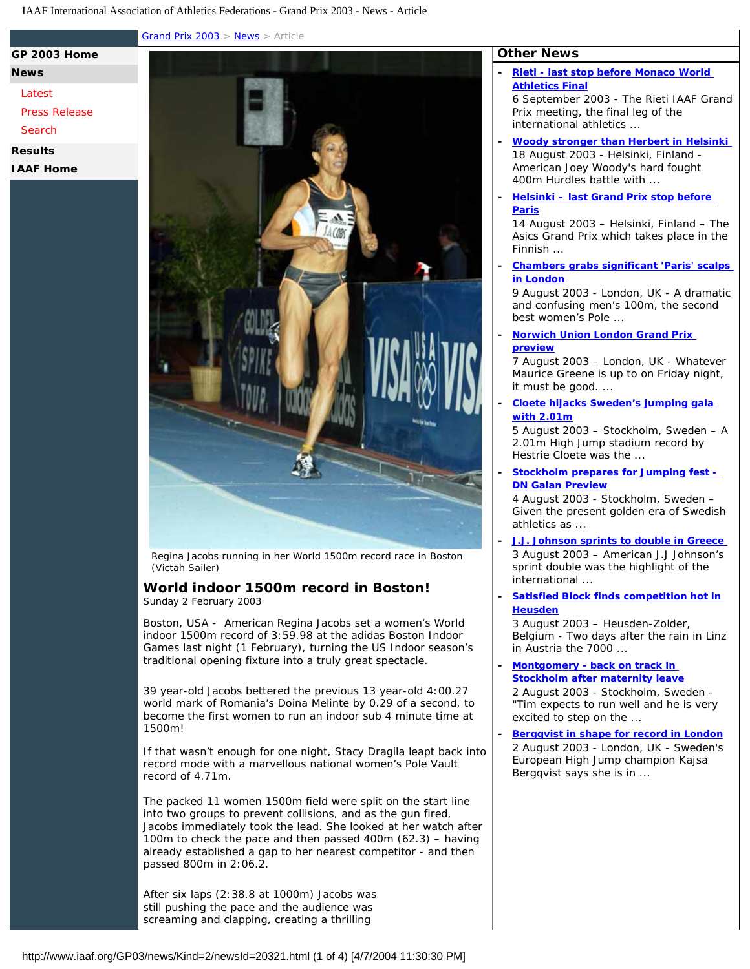[Grand Prix 2003](http://www.iaaf.org/GP03/index.html) > [News](http://www.iaaf.org/gp03/news/index.html) > Article

**[News](http://www.iaaf.org/GP03/news/index.html)**

## **[Latest](http://www.iaaf.org/GP03/news/index.html)**

[Press Release](http://www.iaaf.org/GP03/news/kind=512/index.html)

**[GP 2003 Home](http://www.iaaf.org/GP03/index.html)**

[Search](http://www.iaaf.org/GP03/news/search.htmx)

**[Results](http://www.iaaf.org/GP03/results/index.html)**

**[IAAF Home](http://www.iaaf.org/index.html)**



Regina Jacobs running in her World 1500m record race in Boston (Victah Sailer)

## **World indoor 1500m record in Boston!** Sunday 2 February 2003

Boston, USA - American Regina Jacobs set a women's World indoor 1500m record of 3:59.98 at the adidas Boston Indoor Games last night (1 February), turning the US Indoor season's traditional opening fixture into a truly great spectacle.

39 year-old Jacobs bettered the previous 13 year-old 4:00.27 world mark of Romania's Doina Melinte by 0.29 of a second, to become the first women to run an indoor sub 4 minute time at 1500m!

If that wasn't enough for one night, Stacy Dragila leapt back into record mode with a marvellous national women's Pole Vault record of 4.71m.

The packed 11 women 1500m field were split on the start line into two groups to prevent collisions, and as the gun fired, Jacobs immediately took the lead. She looked at her watch after 100m to check the pace and then passed 400m (62.3) – having already established a gap to her nearest competitor - and then passed 800m in 2:06.2.

After six laps (2:38.8 at 1000m) Jacobs was still pushing the pace and the audience was screaming and clapping, creating a thrilling

## **Other News**

**- [Rieti - last stop before Monaco World](http://www.iaaf.org/GP03/news/Kind=2/newsId=23121.html) [Athletics Final](http://www.iaaf.org/GP03/news/Kind=2/newsId=23121.html)**

6 September 2003 - The Rieti IAAF Grand Prix meeting, the final leg of the international athletics ...

- **[Woody stronger than Herbert in Helsinki](http://www.iaaf.org/GP03/news/Kind=2/newsId=22331.html)**  18 August 2003 - Helsinki, Finland - American Joey Woody's hard fought 400m Hurdles battle with ...
- **[Helsinki last Grand Prix stop before](http://www.iaaf.org/GP03/news/Kind=2/newsId=22283.html) [Paris](http://www.iaaf.org/GP03/news/Kind=2/newsId=22283.html)**

14 August 2003 – Helsinki, Finland – The Asics Grand Prix which takes place in the Finnish ...

**- [Chambers grabs significant 'Paris' scalps](http://www.iaaf.org/GP03/news/Kind=2/newsId=22233.html) [in London](http://www.iaaf.org/GP03/news/Kind=2/newsId=22233.html)**

9 August 2003 - London, UK - A dramatic and confusing men's 100m, the second best women's Pole ...

**- [Norwich Union London Grand Prix](http://www.iaaf.org/GP03/news/Kind=2/newsId=22213.html)  [preview](http://www.iaaf.org/GP03/news/Kind=2/newsId=22213.html)**

7 August 2003 – London, UK - Whatever Maurice Greene is up to on Friday night, it must be good. ...

**- [Cloete hijacks Sweden's jumping gala](http://www.iaaf.org/GP03/news/Kind=2/newsId=22196.html)  [with 2.01m](http://www.iaaf.org/GP03/news/Kind=2/newsId=22196.html)**

5 August 2003 – Stockholm, Sweden – A 2.01m High Jump stadium record by Hestrie Cloete was the ...

**- [Stockholm prepares for Jumping fest -](http://www.iaaf.org/GP03/news/Kind=2/newsId=22179.html)  [DN Galan Preview](http://www.iaaf.org/GP03/news/Kind=2/newsId=22179.html)**

4 August 2003 - Stockholm, Sweden – Given the present golden era of Swedish athletics as ...

- **[J.J. Johnson sprints to double in Greece](http://www.iaaf.org/GP03/news/Kind=2/newsId=22183.html)**  3 August 2003 – American J.J Johnson's sprint double was the highlight of the international ...
- **[Satisfied Block finds competition hot in](http://www.iaaf.org/GP03/news/Kind=2/newsId=22177.html)  [Heusden](http://www.iaaf.org/GP03/news/Kind=2/newsId=22177.html)**

3 August 2003 – Heusden-Zolder, Belgium - Two days after the rain in Linz in Austria the 7000 ...

**- [Montgomery - back on track in](http://www.iaaf.org/GP03/news/Kind=2/newsId=22175.html)  [Stockholm after maternity leave](http://www.iaaf.org/GP03/news/Kind=2/newsId=22175.html)**

2 August 2003 - Stockholm, Sweden - "Tim expects to run well and he is very excited to step on the ...

**- [Bergqvist in shape for record in London](http://www.iaaf.org/GP03/news/Kind=2/newsId=22176.html)** 2 August 2003 - London, UK - Sweden's European High Jump champion Kajsa Bergqvist says she is in ...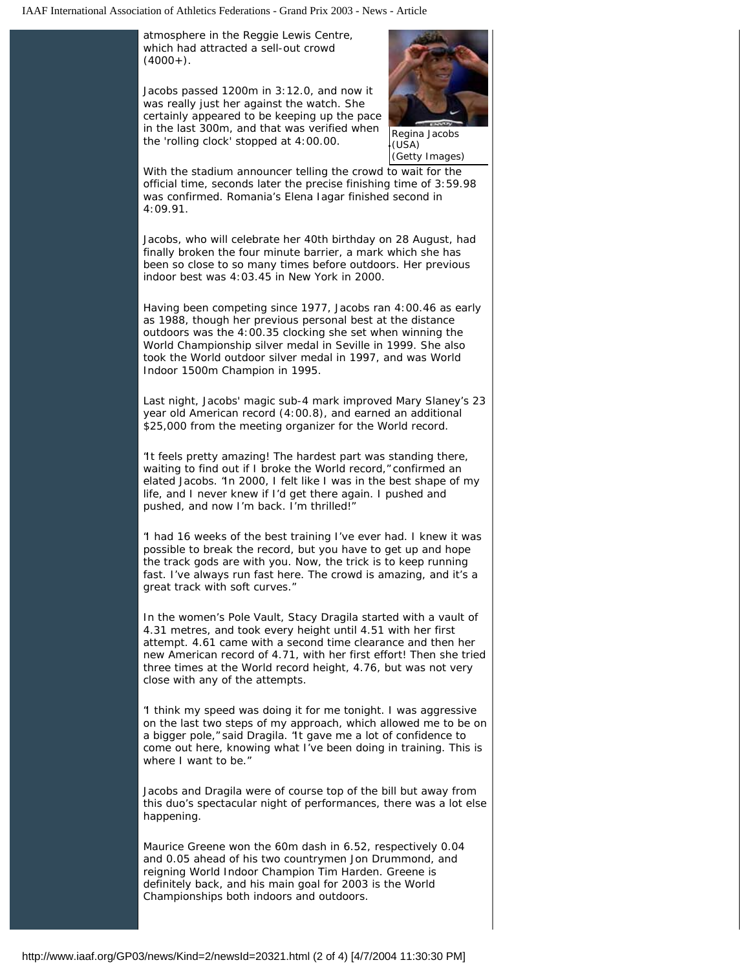atmosphere in the Reggie Lewis Centre, which had attracted a sell-out crowd  $(4000+)$ .

Jacobs passed 1200m in 3:12.0, and now it was really just her against the watch. She certainly appeared to be keeping up the pace in the last 300m, and that was verified when the 'rolling clock' stopped at 4:00.00.



(USA) (Getty Images)

With the stadium announcer telling the crowd to wait for the official time, seconds later the precise finishing time of 3:59.98 was confirmed. Romania's Elena Iagar finished second in 4:09.91.

Jacobs, who will celebrate her 40th birthday on 28 August, had finally broken the four minute barrier, a mark which she has been so close to so many times before outdoors. Her previous indoor best was 4:03.45 in New York in 2000.

Having been competing since 1977, Jacobs ran 4:00.46 as early as 1988, though her previous personal best at the distance outdoors was the 4:00.35 clocking she set when winning the World Championship silver medal in Seville in 1999. She also took the World outdoor silver medal in 1997, and was World Indoor 1500m Champion in 1995.

Last night, Jacobs' magic sub-4 mark improved Mary Slaney's 23 year old American record (4:00.8), and earned an additional \$25,000 from the meeting organizer for the World record.

"It feels pretty amazing! The hardest part was standing there, waiting to find out if I broke the World record," confirmed an elated Jacobs. "In 2000, I felt like I was in the best shape of my life, and I never knew if I'd get there again. I pushed and pushed, and now I'm back. I'm thrilled!"

"I had 16 weeks of the best training I've ever had. I knew it was possible to break the record, but you have to get up and hope the track gods are with you. Now, the trick is to keep running fast. I've always run fast here. The crowd is amazing, and it's a great track with soft curves."

In the women's Pole Vault, Stacy Dragila started with a vault of 4.31 metres, and took every height until 4.51 with her first attempt. 4.61 came with a second time clearance and then her new American record of 4.71, with her first effort! Then she tried three times at the World record height, 4.76, but was not very close with any of the attempts.

"I think my speed was doing it for me tonight. I was aggressive on the last two steps of my approach, which allowed me to be on a bigger pole," said Dragila. "It gave me a lot of confidence to come out here, knowing what I've been doing in training. This is where I want to be."

Jacobs and Dragila were of course top of the bill but away from this duo's spectacular night of performances, there was a lot else happening.

Maurice Greene won the 60m dash in 6.52, respectively 0.04 and 0.05 ahead of his two countrymen Jon Drummond, and reigning World Indoor Champion Tim Harden. Greene is definitely back, and his main goal for 2003 is the World Championships both indoors and outdoors.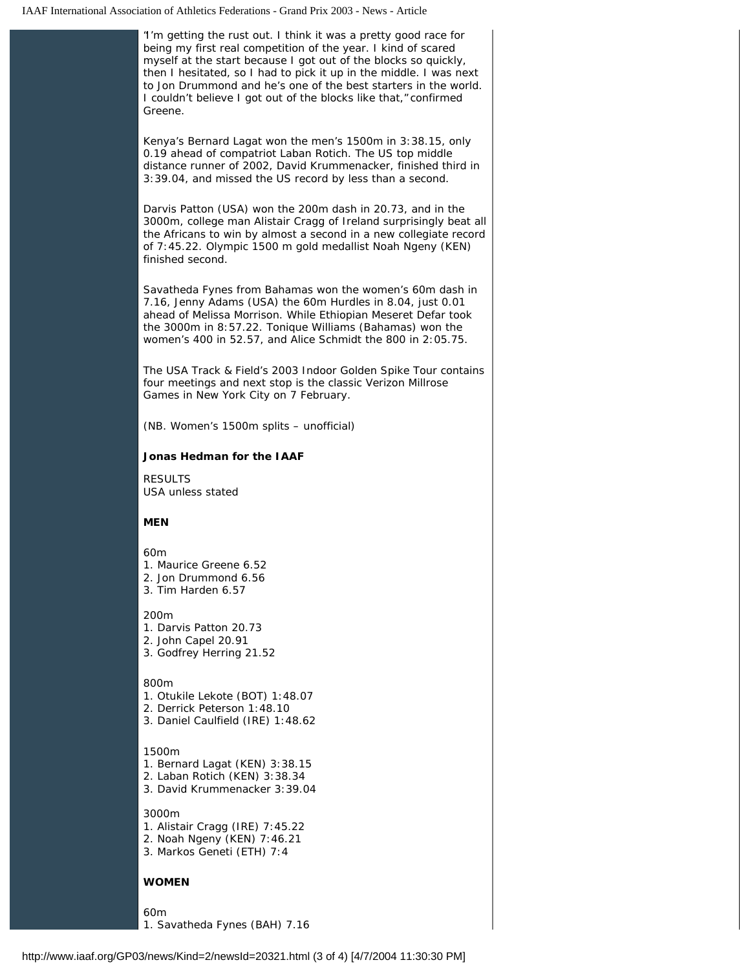| "I'm getting the rust out. I think it was a pretty good race for<br>being my first real competition of the year. I kind of scared<br>myself at the start because I got out of the blocks so quickly,<br>then I hesitated, so I had to pick it up in the middle. I was next<br>to Jon Drummond and he's one of the best starters in the world.<br>I couldn't believe I got out of the blocks like that," confirmed<br>Greene. |  |
|------------------------------------------------------------------------------------------------------------------------------------------------------------------------------------------------------------------------------------------------------------------------------------------------------------------------------------------------------------------------------------------------------------------------------|--|
| Kenya's Bernard Lagat won the men's 1500m in 3:38.15, only<br>0.19 ahead of compatriot Laban Rotich. The US top middle<br>distance runner of 2002, David Krummenacker, finished third in<br>3:39.04, and missed the US record by less than a second.                                                                                                                                                                         |  |
| Darvis Patton (USA) won the 200m dash in 20.73, and in the<br>3000m, college man Alistair Cragg of Ireland surprisingly beat all<br>the Africans to win by almost a second in a new collegiate record<br>of 7:45.22. Olympic 1500 m gold medallist Noah Ngeny (KEN)<br>finished second.                                                                                                                                      |  |
| Savatheda Fynes from Bahamas won the women's 60m dash in<br>7.16, Jenny Adams (USA) the 60m Hurdles in 8.04, just 0.01<br>ahead of Melissa Morrison. While Ethiopian Meseret Defar took<br>the 3000m in 8:57.22. Tonique Williams (Bahamas) won the<br>women's 400 in 52.57, and Alice Schmidt the 800 in 2:05.75.                                                                                                           |  |
| The USA Track & Field's 2003 Indoor Golden Spike Tour contains<br>four meetings and next stop is the classic Verizon Millrose<br>Games in New York City on 7 February.                                                                                                                                                                                                                                                       |  |
| (NB. Women's 1500m splits – unofficial)                                                                                                                                                                                                                                                                                                                                                                                      |  |
| <b>Jonas Hedman for the IAAF</b>                                                                                                                                                                                                                                                                                                                                                                                             |  |
| <b>RESULTS</b><br><b>USA unless stated</b>                                                                                                                                                                                                                                                                                                                                                                                   |  |
| MEN                                                                                                                                                                                                                                                                                                                                                                                                                          |  |
| 60m<br>1. Maurice Greene 6.52<br>2. Jon Drummond 6.56<br>3. Tim Harden 6.57                                                                                                                                                                                                                                                                                                                                                  |  |
| 200m<br>1. Darvis Patton 20.73<br>2. John Capel 20.91<br>3. Godfrey Herring 21.52                                                                                                                                                                                                                                                                                                                                            |  |
| 800m<br>1. Otukile Lekote (BOT) 1:48.07<br>2. Derrick Peterson 1:48.10<br>3. Daniel Caulfield (IRE) 1:48.62                                                                                                                                                                                                                                                                                                                  |  |
| 1500m<br>1. Bernard Lagat (KEN) 3:38.15<br>2. Laban Rotich (KEN) 3:38.34<br>3. David Krummenacker 3:39.04                                                                                                                                                                                                                                                                                                                    |  |
| 3000m<br>1. Alistair Cragg (IRE) 7:45.22<br>2. Noah Ngeny (KEN) 7:46.21<br>3. Markos Geneti (ETH) 7:4                                                                                                                                                                                                                                                                                                                        |  |
| WOMEN                                                                                                                                                                                                                                                                                                                                                                                                                        |  |
| 60m<br>1. Savatheda Fynes (BAH) 7.16                                                                                                                                                                                                                                                                                                                                                                                         |  |